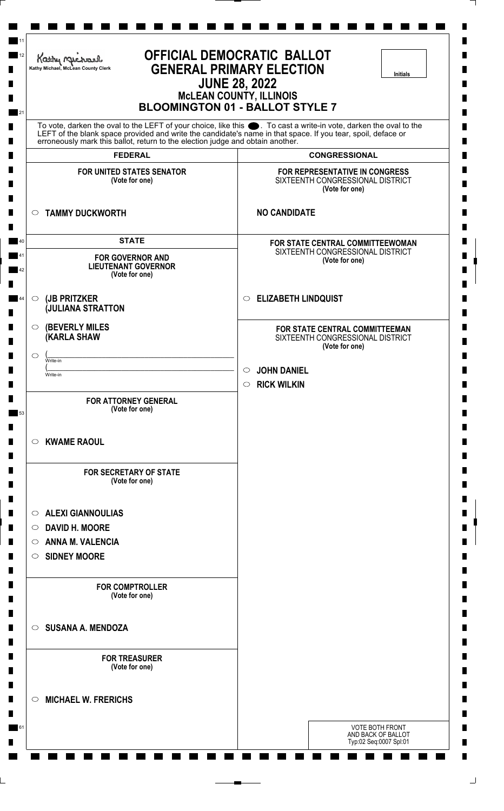| <b>OFFICIAL DEMOCRATIC BALLOT</b><br>Kathy Michael<br><b>GENERAL PRIMARY ELECTION</b><br>Kathy Michael, McLean County Clerk<br><b>Initials</b><br><b>JUNE 28, 2022</b><br><b>McLEAN COUNTY, ILLINOIS</b><br><b>BLOOMINGTON 01 - BALLOT STYLE 7</b> |                                                                                                                                                                                                                                      |  |
|----------------------------------------------------------------------------------------------------------------------------------------------------------------------------------------------------------------------------------------------------|--------------------------------------------------------------------------------------------------------------------------------------------------------------------------------------------------------------------------------------|--|
| erroneously mark this ballot, return to the election judge and obtain another.                                                                                                                                                                     | To vote, darken the oval to the LEFT of your choice, like this $\bullet$ . To cast a write-in vote, darken the oval to the LEFT of the blank space provided and write the candidate's name in that space. If you tear, spoil, deface |  |
| <b>FEDERAL</b>                                                                                                                                                                                                                                     | <b>CONGRESSIONAL</b>                                                                                                                                                                                                                 |  |
| <b>FOR UNITED STATES SENATOR</b><br>(Vote for one)                                                                                                                                                                                                 | FOR REPRESENTATIVE IN CONGRESS<br>SIXTEENTH CONGRESSIONAL DISTRICT<br>(Vote for one)                                                                                                                                                 |  |
| <b>TAMMY DUCKWORTH</b><br>$\circ$                                                                                                                                                                                                                  | <b>NO CANDIDATE</b>                                                                                                                                                                                                                  |  |
| <b>STATE</b><br><b>FOR GOVERNOR AND</b><br><b>LIEUTENANT GOVERNOR</b><br>(Vote for one)                                                                                                                                                            | FOR STATE CENTRAL COMMITTEEWOMAN<br>SIXTEENTH CONGRESSIONAL DISTRICT<br>(Vote for one)                                                                                                                                               |  |
| (JB PRITZKER<br>$\circ$<br><b>JULIANA STRATTON</b>                                                                                                                                                                                                 | <b>ELIZABETH LINDQUIST</b><br>$\circ$                                                                                                                                                                                                |  |
| <b>(BEVERLY MILES)</b><br>O<br><b>(KARLA SHAW</b><br>$\circ$<br>Write-in<br>Write-in                                                                                                                                                               | FOR STATE CENTRAL COMMITTEEMAN<br>SIXTEENTH CONGRESSIONAL DISTRICT<br>(Vote for one)<br><b>JOHN DANIEL</b><br>$\circ$                                                                                                                |  |
| <b>FOR ATTORNEY GENERAL</b><br>(Vote for one)                                                                                                                                                                                                      | <b>RICK WILKIN</b><br>$\circ$                                                                                                                                                                                                        |  |
| <b>KWAME RAOUL</b><br>O                                                                                                                                                                                                                            |                                                                                                                                                                                                                                      |  |
| <b>FOR SECRETARY OF STATE</b><br>(Vote for one)                                                                                                                                                                                                    |                                                                                                                                                                                                                                      |  |
| <b>ALEXI GIANNOULIAS</b><br>$\circ$                                                                                                                                                                                                                |                                                                                                                                                                                                                                      |  |
| ○ DAVID H. MOORE<br><b>ANNA M. VALENCIA</b><br>$\circ$                                                                                                                                                                                             |                                                                                                                                                                                                                                      |  |
| SIDNEY MOORE                                                                                                                                                                                                                                       |                                                                                                                                                                                                                                      |  |
| <b>FOR COMPTROLLER</b><br>(Vote for one)                                                                                                                                                                                                           |                                                                                                                                                                                                                                      |  |
| <b>SUSANA A. MENDOZA</b><br>$\circ$                                                                                                                                                                                                                |                                                                                                                                                                                                                                      |  |
| <b>FOR TREASURER</b><br>(Vote for one)                                                                                                                                                                                                             |                                                                                                                                                                                                                                      |  |
| <b>MICHAEL W. FRERICHS</b><br>$\circ$                                                                                                                                                                                                              |                                                                                                                                                                                                                                      |  |
|                                                                                                                                                                                                                                                    | <b>VOTE BOTH FRONT</b><br>AND BACK OF BALLOT<br>Typ:02 Seq:0007 Spl:01                                                                                                                                                               |  |

L,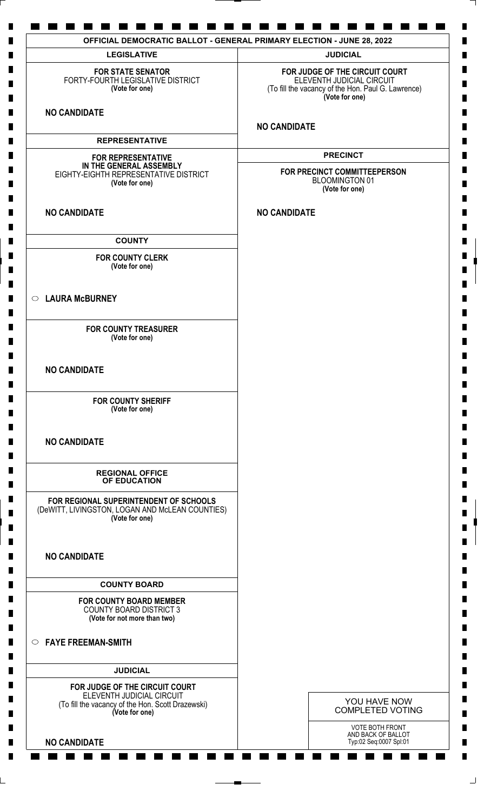| <b>LEGISLATIVE</b>                                                                                                                 | <b>JUDICIAL</b>                                                                                                                     |
|------------------------------------------------------------------------------------------------------------------------------------|-------------------------------------------------------------------------------------------------------------------------------------|
| <b>FOR STATE SENATOR</b><br>FORTY-FOURTH LEGISLATIVE DISTRICT<br>(Vote for one)                                                    | FOR JUDGE OF THE CIRCUIT COURT<br>ELEVENTH JUDICIAL CIRCUIT<br>(To fill the vacancy of the Hon. Paul G. Lawrence)<br>(Vote for one) |
| <b>NO CANDIDATE</b>                                                                                                                | <b>NO CANDIDATE</b>                                                                                                                 |
| <b>REPRESENTATIVE</b>                                                                                                              |                                                                                                                                     |
|                                                                                                                                    | <b>PRECINCT</b>                                                                                                                     |
| <b>FOR REPRESENTATIVE</b><br>IN THE GENERAL ASSEMBLY<br>EIGHTY-EIGHTH REPRESENTATIVE DISTRICT<br>(Vote for one)                    | FOR PRECINCT COMMITTEEPERSON<br><b>BLOOMINGTON 01</b><br>(Vote for one)                                                             |
| <b>NO CANDIDATE</b>                                                                                                                | <b>NO CANDIDATE</b>                                                                                                                 |
| <b>COUNTY</b>                                                                                                                      |                                                                                                                                     |
| <b>FOR COUNTY CLERK</b><br>(Vote for one)                                                                                          |                                                                                                                                     |
| ○ LAURA McBURNEY                                                                                                                   |                                                                                                                                     |
| <b>FOR COUNTY TREASURER</b><br>(Vote for one)                                                                                      |                                                                                                                                     |
| <b>NO CANDIDATE</b>                                                                                                                |                                                                                                                                     |
| <b>FOR COUNTY SHERIFF</b><br>(Vote for one)                                                                                        |                                                                                                                                     |
| <b>NO CANDIDATE</b>                                                                                                                |                                                                                                                                     |
| <b>REGIONAL OFFICE</b><br>OF EDUCATION                                                                                             |                                                                                                                                     |
| FOR REGIONAL SUPERINTENDENT OF SCHOOLS<br>(DeWITT, LIVINGSTON, LOGAN AND McLEAN COUNTIES)<br>(Vote for one)                        |                                                                                                                                     |
| <b>NO CANDIDATE</b>                                                                                                                |                                                                                                                                     |
| <b>COUNTY BOARD</b>                                                                                                                |                                                                                                                                     |
| <b>FOR COUNTY BOARD MEMBER</b><br><b>COUNTY BOARD DISTRICT 3</b><br>(Vote for not more than two)                                   |                                                                                                                                     |
| <b>EAYE FREEMAN-SMITH</b>                                                                                                          |                                                                                                                                     |
| <b>JUDICIAL</b>                                                                                                                    |                                                                                                                                     |
| FOR JUDGE OF THE CIRCUIT COURT<br>ELEVENTH JUDICIAL CIRCUIT<br>(To fill the vacancy of the Hon. Scott Drazewski)<br>(Vote for one) | YOU HAVE NOW<br><b>COMPLETED VOTING</b>                                                                                             |
| <b>NO CANDIDATE</b>                                                                                                                | VOTE BOTH FRONT<br>AND BACK OF BALLOT<br>Typ:02 Seq:0007 Spl:01                                                                     |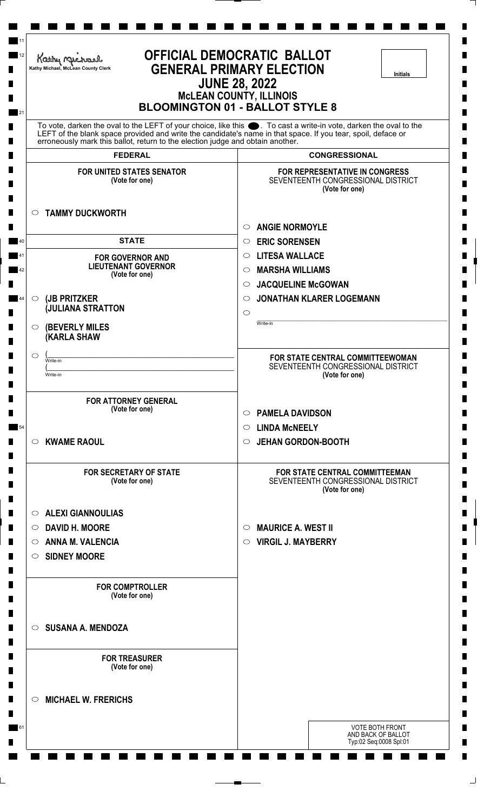| <b>OFFICIAL DEMOCRATIC BALLOT</b><br>Kathy Michael<br><b>GENERAL PRIMARY ELECTION</b><br>Kathy Michael, McLean County Clerk<br><b>Initials</b><br><b>JUNE 28, 2022</b><br><b>McLEAN COUNTY, ILLINOIS</b><br><b>BLOOMINGTON 01 - BALLOT STYLE 8</b><br>To vote, darken the oval to the LEFT of your choice, like this ●. To cast a write-in vote, darken the oval to the<br>LEFT of the blank space provided and write the candidate's name in that space. If you tear, spoil, deface or<br>erroneously mark this ballot, return to the election judge and obtain another. |                                                                                          |  |
|---------------------------------------------------------------------------------------------------------------------------------------------------------------------------------------------------------------------------------------------------------------------------------------------------------------------------------------------------------------------------------------------------------------------------------------------------------------------------------------------------------------------------------------------------------------------------|------------------------------------------------------------------------------------------|--|
|                                                                                                                                                                                                                                                                                                                                                                                                                                                                                                                                                                           |                                                                                          |  |
| <b>FOR UNITED STATES SENATOR</b><br>(Vote for one)                                                                                                                                                                                                                                                                                                                                                                                                                                                                                                                        | FOR REPRESENTATIVE IN CONGRESS<br>SEVENTEENTH CONGRESSIONAL DISTRICT<br>(Vote for one)   |  |
| <b>TAMMY DUCKWORTH</b><br>$\circ$                                                                                                                                                                                                                                                                                                                                                                                                                                                                                                                                         | <b>ANGIE NORMOYLE</b><br>$\circ$                                                         |  |
| <b>STATE</b>                                                                                                                                                                                                                                                                                                                                                                                                                                                                                                                                                              | <b>ERIC SORENSEN</b><br>$\circ$                                                          |  |
| <b>FOR GOVERNOR AND</b>                                                                                                                                                                                                                                                                                                                                                                                                                                                                                                                                                   | <b>LITESA WALLACE</b><br>$\circ$                                                         |  |
| <b>LIEUTENANT GOVERNOR</b><br>(Vote for one)                                                                                                                                                                                                                                                                                                                                                                                                                                                                                                                              | <b>MARSHA WILLIAMS</b><br>O                                                              |  |
|                                                                                                                                                                                                                                                                                                                                                                                                                                                                                                                                                                           | <b>JACQUELINE McGOWAN</b><br>$\circ$                                                     |  |
| (JB PRITZKER<br>$\circ$                                                                                                                                                                                                                                                                                                                                                                                                                                                                                                                                                   | <b>JONATHAN KLARER LOGEMANN</b><br>$\circ$                                               |  |
| <b>(JULIANA STRATTON</b>                                                                                                                                                                                                                                                                                                                                                                                                                                                                                                                                                  | $\circ$                                                                                  |  |
| <b>(BEVERLY MILES)</b><br>$\circ$<br><b>KARLA SHAW</b>                                                                                                                                                                                                                                                                                                                                                                                                                                                                                                                    | Write-in                                                                                 |  |
| ◯<br>Write-in<br>Write-in                                                                                                                                                                                                                                                                                                                                                                                                                                                                                                                                                 | FOR STATE CENTRAL COMMITTEEWOMAN<br>SEVENTEENTH CONGRESSIONAL DISTRICT<br>(Vote for one) |  |
| <b>FOR ATTORNEY GENERAL</b><br>(Vote for one)                                                                                                                                                                                                                                                                                                                                                                                                                                                                                                                             | <b>PAMELA DAVIDSON</b><br>$\circ$                                                        |  |
|                                                                                                                                                                                                                                                                                                                                                                                                                                                                                                                                                                           | <b>LINDA MCNEELY</b><br>O                                                                |  |
| <b>KWAME RAOUL</b><br>$\circ$                                                                                                                                                                                                                                                                                                                                                                                                                                                                                                                                             | <b>JEHAN GORDON-BOOTH</b><br>O                                                           |  |
| <b>FOR SECRETARY OF STATE</b><br>(Vote for one)                                                                                                                                                                                                                                                                                                                                                                                                                                                                                                                           | FOR STATE CENTRAL COMMITTEEMAN<br>SEVENTEENTH CONGRESSIONAL DISTRICT<br>(Vote for one)   |  |
| $\circ$ ALEXI GIANNOULIAS                                                                                                                                                                                                                                                                                                                                                                                                                                                                                                                                                 |                                                                                          |  |
| <b>DAVID H. MOORE</b><br>$\circ$                                                                                                                                                                                                                                                                                                                                                                                                                                                                                                                                          | <b>MAURICE A. WEST II</b><br>$\circ$                                                     |  |
| <b>ANNA M. VALENCIA</b><br>$\circ$                                                                                                                                                                                                                                                                                                                                                                                                                                                                                                                                        | <b>VIRGIL J. MAYBERRY</b><br>$\circ$                                                     |  |
| <b>SIDNEY MOORE</b><br>$\circ$                                                                                                                                                                                                                                                                                                                                                                                                                                                                                                                                            |                                                                                          |  |
| <b>FOR COMPTROLLER</b><br>(Vote for one)                                                                                                                                                                                                                                                                                                                                                                                                                                                                                                                                  |                                                                                          |  |
| $\circ$ SUSANA A. MENDOZA                                                                                                                                                                                                                                                                                                                                                                                                                                                                                                                                                 |                                                                                          |  |
| <b>FOR TREASURER</b><br>(Vote for one)                                                                                                                                                                                                                                                                                                                                                                                                                                                                                                                                    |                                                                                          |  |
| <b>MICHAEL W. FRERICHS</b><br>$\circ$                                                                                                                                                                                                                                                                                                                                                                                                                                                                                                                                     |                                                                                          |  |
|                                                                                                                                                                                                                                                                                                                                                                                                                                                                                                                                                                           | <b>VOTE BOTH FRONT</b><br>AND BACK OF BALLOT<br>Typ:02 Seq:0008 Spl:01                   |  |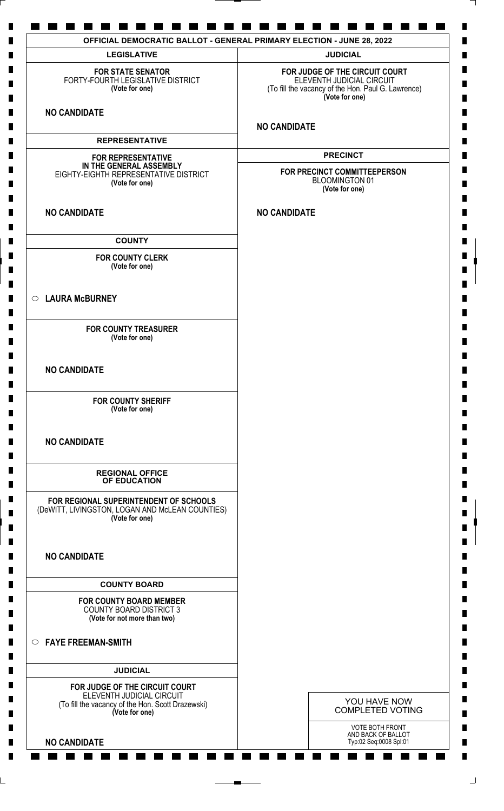| <b>LEGISLATIVE</b>                                                                                                                 | <b>JUDICIAL</b>                                                                                                                     |
|------------------------------------------------------------------------------------------------------------------------------------|-------------------------------------------------------------------------------------------------------------------------------------|
| <b>FOR STATE SENATOR</b><br>FORTY-FOURTH LEGISLATIVE DISTRICT<br>(Vote for one)                                                    | FOR JUDGE OF THE CIRCUIT COURT<br>ELEVENTH JUDICIAL CIRCUIT<br>(To fill the vacancy of the Hon. Paul G. Lawrence)<br>(Vote for one) |
| <b>NO CANDIDATE</b>                                                                                                                | <b>NO CANDIDATE</b>                                                                                                                 |
| <b>REPRESENTATIVE</b>                                                                                                              |                                                                                                                                     |
|                                                                                                                                    | <b>PRECINCT</b>                                                                                                                     |
| <b>FOR REPRESENTATIVE</b><br>IN THE GENERAL ASSEMBLY<br>EIGHTY-EIGHTH REPRESENTATIVE DISTRICT<br>(Vote for one)                    | FOR PRECINCT COMMITTEEPERSON<br><b>BLOOMINGTON 01</b><br>(Vote for one)                                                             |
| <b>NO CANDIDATE</b>                                                                                                                | <b>NO CANDIDATE</b>                                                                                                                 |
| <b>COUNTY</b>                                                                                                                      |                                                                                                                                     |
| <b>FOR COUNTY CLERK</b><br>(Vote for one)                                                                                          |                                                                                                                                     |
| ○ LAURA McBURNEY                                                                                                                   |                                                                                                                                     |
| <b>FOR COUNTY TREASURER</b><br>(Vote for one)                                                                                      |                                                                                                                                     |
| <b>NO CANDIDATE</b>                                                                                                                |                                                                                                                                     |
| <b>FOR COUNTY SHERIFF</b><br>(Vote for one)                                                                                        |                                                                                                                                     |
| <b>NO CANDIDATE</b>                                                                                                                |                                                                                                                                     |
| <b>REGIONAL OFFICE</b><br>OF EDUCATION                                                                                             |                                                                                                                                     |
| FOR REGIONAL SUPERINTENDENT OF SCHOOLS<br>(DeWITT, LIVINGSTON, LOGAN AND McLEAN COUNTIES)<br>(Vote for one)                        |                                                                                                                                     |
| <b>NO CANDIDATE</b>                                                                                                                |                                                                                                                                     |
| <b>COUNTY BOARD</b>                                                                                                                |                                                                                                                                     |
| <b>FOR COUNTY BOARD MEMBER</b><br><b>COUNTY BOARD DISTRICT 3</b><br>(Vote for not more than two)                                   |                                                                                                                                     |
| <b>EAYE FREEMAN-SMITH</b>                                                                                                          |                                                                                                                                     |
| <b>JUDICIAL</b>                                                                                                                    |                                                                                                                                     |
| FOR JUDGE OF THE CIRCUIT COURT<br>ELEVENTH JUDICIAL CIRCUIT<br>(To fill the vacancy of the Hon. Scott Drazewski)<br>(Vote for one) | YOU HAVE NOW<br><b>COMPLETED VOTING</b>                                                                                             |
| <b>NO CANDIDATE</b>                                                                                                                | VOTE BOTH FRONT<br>AND BACK OF BALLOT<br>Typ:02 Seq:0008 Spl:01                                                                     |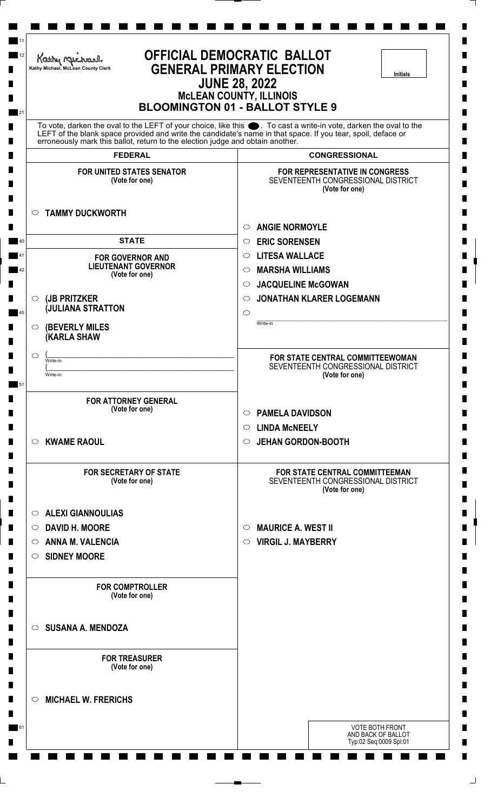| <b>OFFICIAL DEMOCRATIC BALLOT</b><br>Kathy Michael<br><b>GENERAL PRIMARY ELECTION</b><br>Kathy Michael, McLean County Clerk<br><b>Initials</b><br><b>JUNE 28, 2022</b><br><b>McLEAN COUNTY, ILLINOIS</b><br><b>BLOOMINGTON 01 - BALLOT STYLE 9</b><br>To vote, darken the oval to the LEFT of your choice, like this ●. To cast a write-in vote, darken the oval to the<br>LEFT of the blank space provided and write the candidate's name in that space. If you tear, spoil, deface or<br>erroneously mark this ballot, return to the election judge and obtain another. |                                                                                               |  |
|---------------------------------------------------------------------------------------------------------------------------------------------------------------------------------------------------------------------------------------------------------------------------------------------------------------------------------------------------------------------------------------------------------------------------------------------------------------------------------------------------------------------------------------------------------------------------|-----------------------------------------------------------------------------------------------|--|
|                                                                                                                                                                                                                                                                                                                                                                                                                                                                                                                                                                           |                                                                                               |  |
| <b>FOR UNITED STATES SENATOR</b><br>(Vote for one)                                                                                                                                                                                                                                                                                                                                                                                                                                                                                                                        | <b>FOR REPRESENTATIVE IN CONGRESS</b><br>SEVENTEENTH CONGRESSIONAL DISTRICT<br>(Vote for one) |  |
| <b>TAMMY DUCKWORTH</b><br>$\circ$                                                                                                                                                                                                                                                                                                                                                                                                                                                                                                                                         | <b>ANGIE NORMOYLE</b><br>$\circ$                                                              |  |
| <b>STATE</b>                                                                                                                                                                                                                                                                                                                                                                                                                                                                                                                                                              | <b>ERIC SORENSEN</b><br>$\circ$                                                               |  |
| <b>FOR GOVERNOR AND</b>                                                                                                                                                                                                                                                                                                                                                                                                                                                                                                                                                   | <b>LITESA WALLACE</b><br>$\circ$                                                              |  |
| <b>LIEUTENANT GOVERNOR</b><br>(Vote for one)                                                                                                                                                                                                                                                                                                                                                                                                                                                                                                                              | <b>MARSHA WILLIAMS</b><br>$\circ$                                                             |  |
|                                                                                                                                                                                                                                                                                                                                                                                                                                                                                                                                                                           | <b>JACQUELINE McGOWAN</b><br>$\circ$                                                          |  |
| (JB PRITZKER<br>$\circlearrowright$                                                                                                                                                                                                                                                                                                                                                                                                                                                                                                                                       | <b>JONATHAN KLARER LOGEMANN</b><br>$\circ$                                                    |  |
| <b>JULIANA STRATTON</b>                                                                                                                                                                                                                                                                                                                                                                                                                                                                                                                                                   | $\circ$                                                                                       |  |
| <b>(BEVERLY MILES)</b><br>$\circ$<br><b>(KARLA SHAW</b>                                                                                                                                                                                                                                                                                                                                                                                                                                                                                                                   | Write-in                                                                                      |  |
| O<br>Write-in                                                                                                                                                                                                                                                                                                                                                                                                                                                                                                                                                             | FOR STATE CENTRAL COMMITTEEWOMAN                                                              |  |
| Write-in                                                                                                                                                                                                                                                                                                                                                                                                                                                                                                                                                                  | SEVENTEENTH CONGRESSIONAL DISTRICT<br>(Vote for one)                                          |  |
| <b>FOR ATTORNEY GENERAL</b><br>(Vote for one)                                                                                                                                                                                                                                                                                                                                                                                                                                                                                                                             |                                                                                               |  |
|                                                                                                                                                                                                                                                                                                                                                                                                                                                                                                                                                                           | <b>PAMELA DAVIDSON</b><br>$\circ$                                                             |  |
|                                                                                                                                                                                                                                                                                                                                                                                                                                                                                                                                                                           | <b>LINDA MCNEELY</b><br>$\circ$                                                               |  |
| <b>KWAME RAOUL</b><br>$\circ$                                                                                                                                                                                                                                                                                                                                                                                                                                                                                                                                             | <b>JEHAN GORDON-BOOTH</b><br>$\circ$                                                          |  |
| <b>FOR SECRETARY OF STATE</b><br>(Vote for one)                                                                                                                                                                                                                                                                                                                                                                                                                                                                                                                           | FOR STATE CENTRAL COMMITTEEMAN<br>SEVENTEENTH CONGRESSIONAL DISTRICT<br>(Vote for one)        |  |
| $\circ$ ALEXI GIANNOULIAS                                                                                                                                                                                                                                                                                                                                                                                                                                                                                                                                                 |                                                                                               |  |
| <b>DAVID H. MOORE</b><br>$\circ$                                                                                                                                                                                                                                                                                                                                                                                                                                                                                                                                          | <b>MAURICE A. WEST II</b><br>$\circ$                                                          |  |
| <b>ANNA M. VALENCIA</b><br>$\circ$                                                                                                                                                                                                                                                                                                                                                                                                                                                                                                                                        | <b>VIRGIL J. MAYBERRY</b><br>$\circ$                                                          |  |
| <b>SIDNEY MOORE</b><br>$\circ$                                                                                                                                                                                                                                                                                                                                                                                                                                                                                                                                            |                                                                                               |  |
| <b>FOR COMPTROLLER</b><br>(Vote for one)                                                                                                                                                                                                                                                                                                                                                                                                                                                                                                                                  |                                                                                               |  |
| <b>SUSANA A. MENDOZA</b><br>$\circ$                                                                                                                                                                                                                                                                                                                                                                                                                                                                                                                                       |                                                                                               |  |
| <b>FOR TREASURER</b><br>(Vote for one)                                                                                                                                                                                                                                                                                                                                                                                                                                                                                                                                    |                                                                                               |  |
| <b>MICHAEL W. FRERICHS</b><br>$\circlearrowright$                                                                                                                                                                                                                                                                                                                                                                                                                                                                                                                         |                                                                                               |  |
|                                                                                                                                                                                                                                                                                                                                                                                                                                                                                                                                                                           | <b>VOTE BOTH FRONT</b><br>AND BACK OF BALLOT<br>Typ:02 Seq:0009 Spl:01                        |  |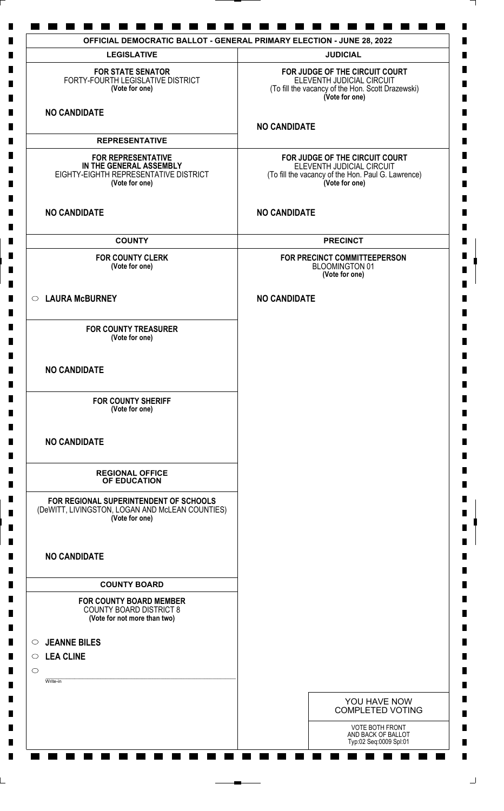| <b>LEGISLATIVE</b>                                                                                              | <b>JUDICIAL</b>                                                                                                                     |
|-----------------------------------------------------------------------------------------------------------------|-------------------------------------------------------------------------------------------------------------------------------------|
| <b>FOR STATE SENATOR</b><br>FORTY-FOURTH LEGISLATIVE DISTRICT<br>(Vote for one)                                 | FOR JUDGE OF THE CIRCUIT COURT<br>ELEVENTH JUDICIAL CIRCUIT<br>(To fill the vacancy of the Hon. Scott Drazewski)<br>(Vote for one)  |
| <b>NO CANDIDATE</b>                                                                                             | <b>NO CANDIDATE</b>                                                                                                                 |
| <b>REPRESENTATIVE</b>                                                                                           |                                                                                                                                     |
| <b>FOR REPRESENTATIVE</b><br>IN THE GENERAL ASSEMBLY<br>EIGHTY-EIGHTH REPRESENTATIVE DISTRICT<br>(Vote for one) | FOR JUDGE OF THE CIRCUIT COURT<br>ELEVENTH JUDICIAL CIRCUIT<br>(To fill the vacancy of the Hon. Paul G. Lawrence)<br>(Vote for one) |
| <b>NO CANDIDATE</b>                                                                                             | <b>NO CANDIDATE</b>                                                                                                                 |
| <b>COUNTY</b>                                                                                                   | <b>PRECINCT</b>                                                                                                                     |
| <b>FOR COUNTY CLERK</b><br>(Vote for one)                                                                       | FOR PRECINCT COMMITTEEPERSON<br><b>BLOOMINGTON 01</b><br>(Vote for one)                                                             |
| ○ LAURA McBURNEY                                                                                                | <b>NO CANDIDATE</b>                                                                                                                 |
| <b>FOR COUNTY TREASURER</b><br>(Vote for one)                                                                   |                                                                                                                                     |
| <b>NO CANDIDATE</b>                                                                                             |                                                                                                                                     |
| <b>FOR COUNTY SHERIFF</b><br>(Vote for one)                                                                     |                                                                                                                                     |
| <b>NO CANDIDATE</b>                                                                                             |                                                                                                                                     |
| <b>REGIONAL OFFICE</b><br>OF EDUCATION                                                                          |                                                                                                                                     |
| FOR REGIONAL SUPERINTENDENT OF SCHOOLS<br>(DeWITT, LIVINGSTON, LOGAN AND McLEAN COUNTIES)<br>(Vote for one)     |                                                                                                                                     |
| <b>NO CANDIDATE</b>                                                                                             |                                                                                                                                     |
| <b>COUNTY BOARD</b>                                                                                             |                                                                                                                                     |
| <b>FOR COUNTY BOARD MEMBER</b><br><b>COUNTY BOARD DISTRICT 8</b><br>(Vote for not more than two)                |                                                                                                                                     |
| <b>JEANNE BILES</b><br>$\circ$<br>$\circ$ LEA CLINE                                                             |                                                                                                                                     |
| $\circ$                                                                                                         |                                                                                                                                     |
| Write-in                                                                                                        |                                                                                                                                     |
|                                                                                                                 | YOU HAVE NOW<br><b>COMPLETED VOTING</b>                                                                                             |
|                                                                                                                 | VOTE BOTH FRONT<br>AND BACK OF BALLOT<br>Typ:02 Seq:0009 Spl:01                                                                     |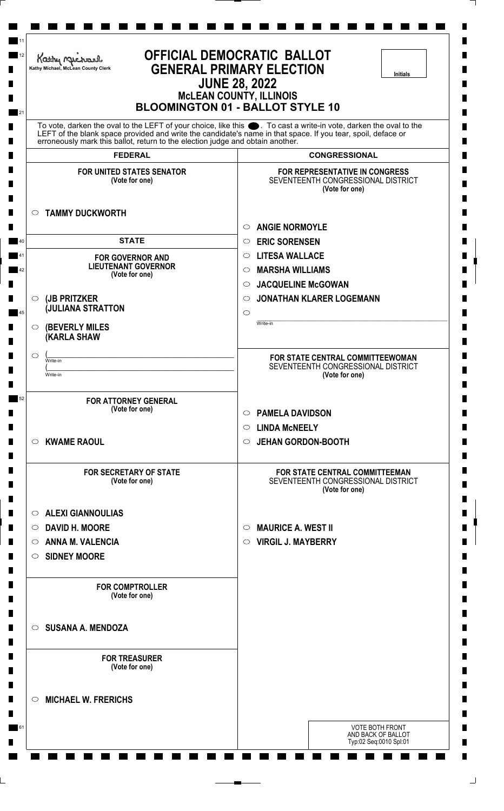| <b>OFFICIAL DEMOCRATIC BALLOT</b><br>Kathy Michael<br><b>GENERAL PRIMARY ELECTION</b><br>Kathy Michael, McLean County Clerk<br><b>Initials</b><br><b>JUNE 28, 2022</b><br><b>McLEAN COUNTY, ILLINOIS</b><br><b>BLOOMINGTON 01 - BALLOT STYLE 10</b> |                                                                                                                                                                                                                                   |  |
|-----------------------------------------------------------------------------------------------------------------------------------------------------------------------------------------------------------------------------------------------------|-----------------------------------------------------------------------------------------------------------------------------------------------------------------------------------------------------------------------------------|--|
| erroneously mark this ballot, return to the election judge and obtain another.                                                                                                                                                                      | To vote, darken the oval to the LEFT of your choice, like this ●. To cast a write-in vote, darken the oval to the<br>LEFT of the blank space provided and write the candidate's name in that space. If you tear, spoil, deface or |  |
| <b>FEDERAL</b>                                                                                                                                                                                                                                      | <b>CONGRESSIONAL</b>                                                                                                                                                                                                              |  |
| <b>FOR UNITED STATES SENATOR</b><br>(Vote for one)                                                                                                                                                                                                  | <b>FOR REPRESENTATIVE IN CONGRESS</b><br>SEVENTEENTH CONGRESSIONAL DISTRICT<br>(Vote for one)                                                                                                                                     |  |
| <b>TAMMY DUCKWORTH</b><br>$\circ$                                                                                                                                                                                                                   | <b>ANGIE NORMOYLE</b><br>$\circ$                                                                                                                                                                                                  |  |
| <b>STATE</b>                                                                                                                                                                                                                                        | <b>ERIC SORENSEN</b><br>$\circ$                                                                                                                                                                                                   |  |
| <b>FOR GOVERNOR AND</b>                                                                                                                                                                                                                             | <b>LITESA WALLACE</b><br>$\circlearrowright$                                                                                                                                                                                      |  |
| <b>LIEUTENANT GOVERNOR</b><br>(Vote for one)                                                                                                                                                                                                        | <b>MARSHA WILLIAMS</b><br>O                                                                                                                                                                                                       |  |
|                                                                                                                                                                                                                                                     | <b>JACQUELINE McGOWAN</b><br>$\circ$                                                                                                                                                                                              |  |
| (JB PRITZKER<br>O                                                                                                                                                                                                                                   | <b>JONATHAN KLARER LOGEMANN</b><br>$\circ$                                                                                                                                                                                        |  |
| <b>JULIANA STRATTON</b>                                                                                                                                                                                                                             | $\circ$                                                                                                                                                                                                                           |  |
| <b>(BEVERLY MILES</b><br>$\circ$<br><b>(KARLA SHAW</b>                                                                                                                                                                                              | Write-in                                                                                                                                                                                                                          |  |
| O<br>Write-in                                                                                                                                                                                                                                       | FOR STATE CENTRAL COMMITTEEWOMAN                                                                                                                                                                                                  |  |
| Write-in                                                                                                                                                                                                                                            | SEVENTEENTH CONGRESSIONAL DISTRICT<br>(Vote for one)                                                                                                                                                                              |  |
| <b>FOR ATTORNEY GENERAL</b>                                                                                                                                                                                                                         |                                                                                                                                                                                                                                   |  |
| (Vote for one)                                                                                                                                                                                                                                      | <b>PAMELA DAVIDSON</b><br>$\circ$                                                                                                                                                                                                 |  |
|                                                                                                                                                                                                                                                     | <b>LINDA MCNEELY</b><br>$\circ$                                                                                                                                                                                                   |  |
| <b>KWAME RAOUL</b><br>$\circ$                                                                                                                                                                                                                       | <b>JEHAN GORDON-BOOTH</b><br>O                                                                                                                                                                                                    |  |
| <b>FOR SECRETARY OF STATE</b><br>(Vote for one)                                                                                                                                                                                                     | <b>FOR STATE CENTRAL COMMITTEEMAN</b><br>SEVENTEENTH CONGRESSIONAL DISTRICT<br>(Vote for one)                                                                                                                                     |  |
| <b>ALEXI GIANNOULIAS</b><br>$\circ$                                                                                                                                                                                                                 |                                                                                                                                                                                                                                   |  |
| ○ DAVID H. MOORE                                                                                                                                                                                                                                    | <b>MAURICE A. WEST II</b><br>$\circ$                                                                                                                                                                                              |  |
| <b>ANNA M. VALENCIA</b><br>$\circ$                                                                                                                                                                                                                  | <b>VIRGIL J. MAYBERRY</b><br>$\circ$                                                                                                                                                                                              |  |
| <b>SIDNEY MOORE</b><br>$\circ$                                                                                                                                                                                                                      |                                                                                                                                                                                                                                   |  |
| <b>FOR COMPTROLLER</b><br>(Vote for one)                                                                                                                                                                                                            |                                                                                                                                                                                                                                   |  |
| <b>SUSANA A. MENDOZA</b><br>$\circ$                                                                                                                                                                                                                 |                                                                                                                                                                                                                                   |  |
| <b>FOR TREASURER</b><br>(Vote for one)                                                                                                                                                                                                              |                                                                                                                                                                                                                                   |  |
| <b>MICHAEL W. FRERICHS</b><br>$\circlearrowright$                                                                                                                                                                                                   |                                                                                                                                                                                                                                   |  |
|                                                                                                                                                                                                                                                     | <b>VOTE BOTH FRONT</b><br>AND BACK OF BALLOT                                                                                                                                                                                      |  |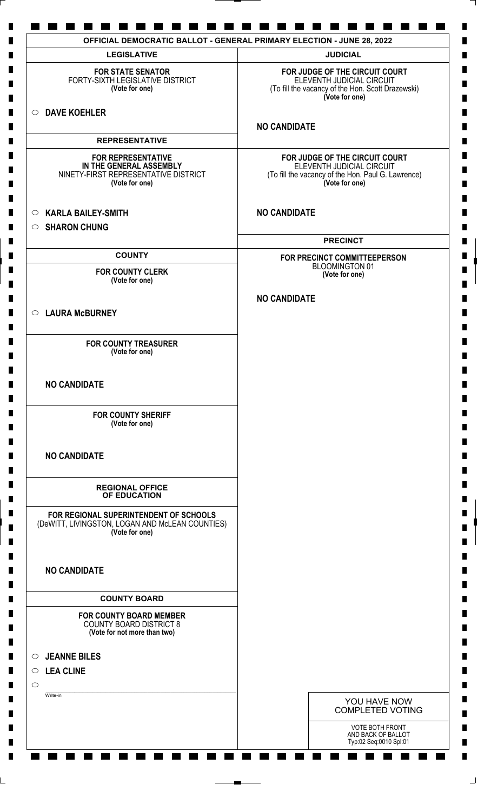| <b>LEGISLATIVE</b>                                                                                             | <b>JUDICIAL</b>                                                                                                                     |
|----------------------------------------------------------------------------------------------------------------|-------------------------------------------------------------------------------------------------------------------------------------|
| <b>FOR STATE SENATOR</b><br>FORTY-SIXTH LEGISLATIVE DISTRICT<br>(Vote for one)                                 | FOR JUDGE OF THE CIRCUIT COURT<br>ELEVENTH JUDICIAL CIRCUIT<br>(To fill the vacancy of the Hon. Scott Drazewski)<br>(Vote for one)  |
| O DAVE KOEHLER                                                                                                 | <b>NO CANDIDATE</b>                                                                                                                 |
| <b>REPRESENTATIVE</b>                                                                                          |                                                                                                                                     |
| <b>FOR REPRESENTATIVE</b><br>IN THE GENERAL ASSEMBLY<br>NINETY-FIRST REPRESENTATIVE DISTRICT<br>(Vote for one) | FOR JUDGE OF THE CIRCUIT COURT<br>ELEVENTH JUDICIAL CIRCUIT<br>(To fill the vacancy of the Hon. Paul G. Lawrence)<br>(Vote for one) |
| <b>KARLA BAILEY-SMITH</b><br>$\circ$                                                                           | <b>NO CANDIDATE</b>                                                                                                                 |
| $\circ$ SHARON CHUNG                                                                                           | <b>PRECINCT</b>                                                                                                                     |
| <b>COUNTY</b>                                                                                                  | FOR PRECINCT COMMITTEEPERSON<br><b>BLOOMINGTON 01</b>                                                                               |
| <b>FOR COUNTY CLERK</b><br>(Vote for one)                                                                      | (Vote for one)                                                                                                                      |
| C LAURA McBURNEY                                                                                               | <b>NO CANDIDATE</b>                                                                                                                 |
|                                                                                                                |                                                                                                                                     |
| <b>FOR COUNTY TREASURER</b><br>(Vote for one)                                                                  |                                                                                                                                     |
| <b>NO CANDIDATE</b>                                                                                            |                                                                                                                                     |
| <b>FOR COUNTY SHERIFF</b><br>(Vote for one)                                                                    |                                                                                                                                     |
| <b>NO CANDIDATE</b>                                                                                            |                                                                                                                                     |
| <b>REGIONAL OFFICE</b><br>OF EDUCATION                                                                         |                                                                                                                                     |
| FOR REGIONAL SUPERINTENDENT OF SCHOOLS<br>(DeWITT, LIVINGSTON, LOGAN AND McLEAN COUNTIES)<br>(Vote for one)    |                                                                                                                                     |
| <b>NO CANDIDATE</b>                                                                                            |                                                                                                                                     |
| <b>COUNTY BOARD</b>                                                                                            |                                                                                                                                     |
| <b>FOR COUNTY BOARD MEMBER</b><br><b>COUNTY BOARD DISTRICT 8</b><br>(Vote for not more than two)               |                                                                                                                                     |
| <b>JEANNE BILES</b><br>$\circ$                                                                                 |                                                                                                                                     |
| <b>LEA CLINE</b><br>$\circ$                                                                                    |                                                                                                                                     |
| $\circ$                                                                                                        |                                                                                                                                     |
| Write-in                                                                                                       | YOU HAVE NOW<br><b>COMPLETED VOTING</b>                                                                                             |
|                                                                                                                | VOTE BOTH FRONT<br>AND BACK OF BALLOT<br>Typ:02 Seq:0010 Spl:01                                                                     |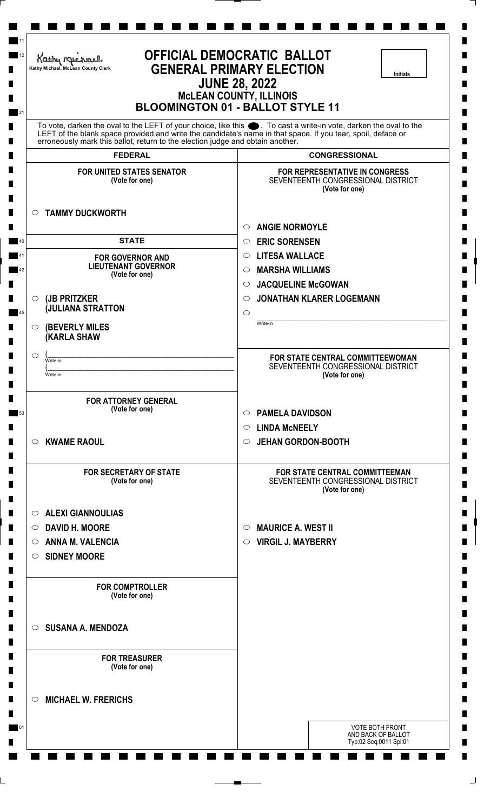| <b>OFFICIAL DEMOCRATIC BALLOT</b><br>Kathy Michael<br><b>GENERAL PRIMARY ELECTION</b><br>Kathy Michael, McLean County Clerk<br><b>Initials</b><br><b>JUNE 28, 2022</b><br><b>McLEAN COUNTY, ILLINOIS</b><br><b>BLOOMINGTON 01 - BALLOT STYLE 11</b> |                                                                                                                                                                                                                                   |
|-----------------------------------------------------------------------------------------------------------------------------------------------------------------------------------------------------------------------------------------------------|-----------------------------------------------------------------------------------------------------------------------------------------------------------------------------------------------------------------------------------|
|                                                                                                                                                                                                                                                     | To vote, darken the oval to the LEFT of your choice, like this ●. To cast a write-in vote, darken the oval to the<br>LEFT of the blank space provided and write the candidate's name in that space. If you tear, spoil, deface or |
| erroneously mark this ballot, return to the election judge and obtain another.<br><b>FEDERAL</b>                                                                                                                                                    | <b>CONGRESSIONAL</b>                                                                                                                                                                                                              |
| <b>FOR UNITED STATES SENATOR</b><br>(Vote for one)                                                                                                                                                                                                  | <b>FOR REPRESENTATIVE IN CONGRESS</b><br>SEVENTEENTH CONGRESSIONAL DISTRICT<br>(Vote for one)                                                                                                                                     |
| <b>TAMMY DUCKWORTH</b><br>$\circ$                                                                                                                                                                                                                   | <b>ANGIE NORMOYLE</b><br>$\circ$                                                                                                                                                                                                  |
| <b>STATE</b>                                                                                                                                                                                                                                        | <b>ERIC SORENSEN</b><br>O                                                                                                                                                                                                         |
| <b>FOR GOVERNOR AND</b>                                                                                                                                                                                                                             | <b>LITESA WALLACE</b><br>$\circ$                                                                                                                                                                                                  |
| <b>LIEUTENANT GOVERNOR</b><br>(Vote for one)                                                                                                                                                                                                        | <b>MARSHA WILLIAMS</b><br>O                                                                                                                                                                                                       |
|                                                                                                                                                                                                                                                     | <b>JACQUELINE McGOWAN</b><br>$\circ$                                                                                                                                                                                              |
| (JB PRITZKER<br>$\circ$<br><b>JULIANA STRATTON</b>                                                                                                                                                                                                  | <b>JONATHAN KLARER LOGEMANN</b><br>$\circ$                                                                                                                                                                                        |
|                                                                                                                                                                                                                                                     | $\circ$<br>Write-in                                                                                                                                                                                                               |
| <b>(BEVERLY MILES)</b><br>$\circ$<br><b>(KARLA SHAW</b>                                                                                                                                                                                             |                                                                                                                                                                                                                                   |
| O                                                                                                                                                                                                                                                   | <b>FOR STATE CENTRAL COMMITTEEWOMAN</b>                                                                                                                                                                                           |
| Write-in<br>Write-in                                                                                                                                                                                                                                | SEVENTEENTH CONGRESSIONAL DISTRICT                                                                                                                                                                                                |
|                                                                                                                                                                                                                                                     | (Vote for one)                                                                                                                                                                                                                    |
| <b>FOR ATTORNEY GENERAL</b>                                                                                                                                                                                                                         |                                                                                                                                                                                                                                   |
| (Vote for one)                                                                                                                                                                                                                                      | <b>PAMELA DAVIDSON</b><br>$\circ$                                                                                                                                                                                                 |
|                                                                                                                                                                                                                                                     | <b>LINDA MCNEELY</b><br>$\circ$                                                                                                                                                                                                   |
| <b>KWAME RAOUL</b><br>$\circ$                                                                                                                                                                                                                       | <b>JEHAN GORDON-BOOTH</b><br>O                                                                                                                                                                                                    |
| <b>FOR SECRETARY OF STATE</b><br>(Vote for one)                                                                                                                                                                                                     | FOR STATE CENTRAL COMMITTEEMAN<br>SEVENTEENTH CONGRESSIONAL DISTRICT<br>(Vote for one)                                                                                                                                            |
| <b>ALEXI GIANNOULIAS</b><br>$\circ$                                                                                                                                                                                                                 |                                                                                                                                                                                                                                   |
| ○ DAVID H. MOORE                                                                                                                                                                                                                                    | <b>MAURICE A. WEST II</b><br>$\circ$                                                                                                                                                                                              |
| <b>ANNA M. VALENCIA</b><br>$\circ$                                                                                                                                                                                                                  | <b>VIRGIL J. MAYBERRY</b><br>$\circ$                                                                                                                                                                                              |
| <b>SIDNEY MOORE</b><br>$\circ$                                                                                                                                                                                                                      |                                                                                                                                                                                                                                   |
| <b>FOR COMPTROLLER</b><br>(Vote for one)                                                                                                                                                                                                            |                                                                                                                                                                                                                                   |
| $\circ$ SUSANA A. MENDOZA                                                                                                                                                                                                                           |                                                                                                                                                                                                                                   |
| <b>FOR TREASURER</b><br>(Vote for one)                                                                                                                                                                                                              |                                                                                                                                                                                                                                   |
| <b>MICHAEL W. FRERICHS</b><br>$\circ$                                                                                                                                                                                                               |                                                                                                                                                                                                                                   |
|                                                                                                                                                                                                                                                     | <b>VOTE BOTH FRONT</b><br>AND BACK OF BALLOT                                                                                                                                                                                      |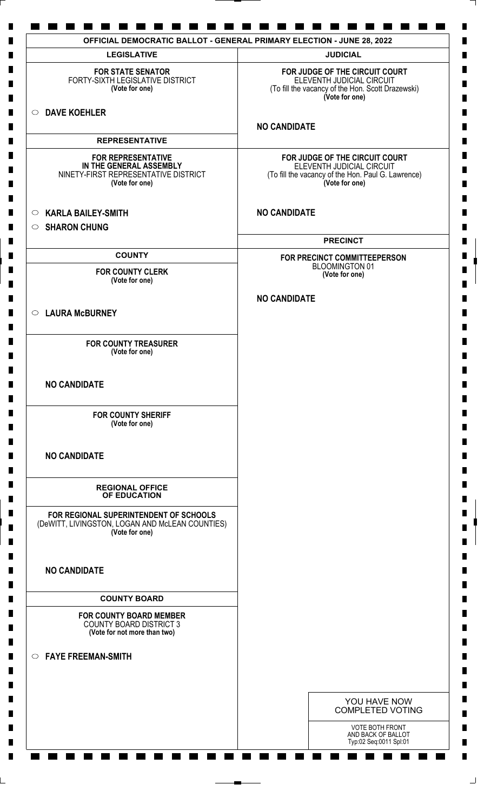| <b>LEGISLATIVE</b>                                                                                             | <b>JUDICIAL</b>                                                                                                                     |
|----------------------------------------------------------------------------------------------------------------|-------------------------------------------------------------------------------------------------------------------------------------|
| <b>FOR STATE SENATOR</b><br>FORTY-SIXTH LEGISLATIVE DISTRICT<br>(Vote for one)                                 | FOR JUDGE OF THE CIRCUIT COURT<br>ELEVENTH JUDICIAL CIRCUIT<br>(To fill the vacancy of the Hon. Scott Drazewski)<br>(Vote for one)  |
| <b>DAVE KOEHLER</b><br>$\circ$                                                                                 |                                                                                                                                     |
| <b>REPRESENTATIVE</b>                                                                                          | <b>NO CANDIDATE</b>                                                                                                                 |
|                                                                                                                |                                                                                                                                     |
| <b>FOR REPRESENTATIVE</b><br>IN THE GENERAL ASSEMBLY<br>NINETY-FIRST REPRESENTATIVE DISTRICT<br>(Vote for one) | FOR JUDGE OF THE CIRCUIT COURT<br>ELEVENTH JUDICIAL CIRCUIT<br>(To fill the vacancy of the Hon. Paul G. Lawrence)<br>(Vote for one) |
| <b>KARLA BAILEY-SMITH</b><br>$\circ$                                                                           | <b>NO CANDIDATE</b>                                                                                                                 |
| <b>SHARON CHUNG</b><br>$\circ$                                                                                 |                                                                                                                                     |
|                                                                                                                | <b>PRECINCT</b>                                                                                                                     |
| <b>COUNTY</b><br><b>FOR COUNTY CLERK</b>                                                                       | FOR PRECINCT COMMITTEEPERSON<br><b>BLOOMINGTON 01</b>                                                                               |
| (Vote for one)                                                                                                 | (Vote for one)                                                                                                                      |
|                                                                                                                | <b>NO CANDIDATE</b>                                                                                                                 |
| ○ LAURA McBURNEY                                                                                               |                                                                                                                                     |
| <b>FOR COUNTY TREASURER</b><br>(Vote for one)                                                                  |                                                                                                                                     |
| <b>NO CANDIDATE</b>                                                                                            |                                                                                                                                     |
| <b>FOR COUNTY SHERIFF</b><br>(Vote for one)                                                                    |                                                                                                                                     |
| <b>NO CANDIDATE</b>                                                                                            |                                                                                                                                     |
| <b>REGIONAL OFFICE</b><br>OF EDUCATION                                                                         |                                                                                                                                     |
| FOR REGIONAL SUPERINTENDENT OF SCHOOLS<br>(DeWITT, LIVINGSTON, LOGAN AND McLEAN COUNTIES)<br>(Vote for one)    |                                                                                                                                     |
| <b>NO CANDIDATE</b>                                                                                            |                                                                                                                                     |
| <b>COUNTY BOARD</b>                                                                                            |                                                                                                                                     |
| <b>FOR COUNTY BOARD MEMBER</b><br><b>COUNTY BOARD DISTRICT 3</b><br>(Vote for not more than two)               |                                                                                                                                     |
| $\circ$ FAYE FREEMAN-SMITH                                                                                     |                                                                                                                                     |
|                                                                                                                | YOU HAVE NOW                                                                                                                        |
|                                                                                                                | <b>COMPLETED VOTING</b>                                                                                                             |
|                                                                                                                | <b>VOTE BOTH FRONT</b><br>AND BACK OF BALLOT<br>Typ:02 Seq:0011 Spl:01                                                              |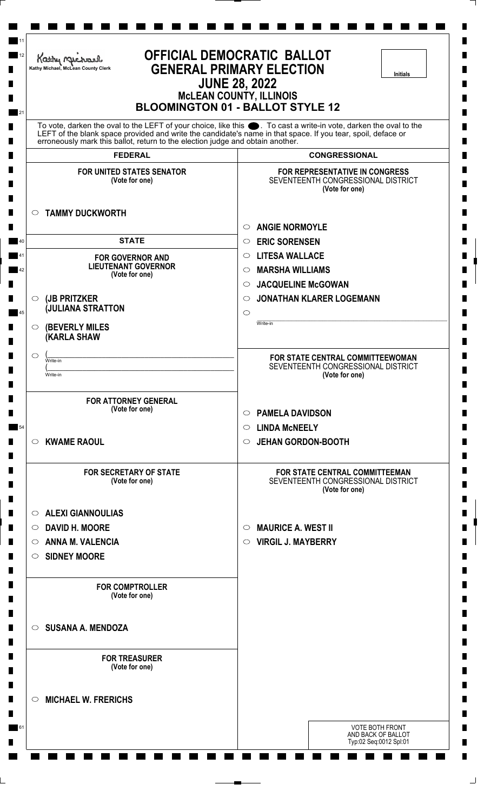| <b>OFFICIAL DEMOCRATIC BALLOT</b><br>Kathy Michael<br><b>GENERAL PRIMARY ELECTION</b><br>Kathy Michael, McLean County Clerk<br><b>Initials</b><br><b>JUNE 28, 2022</b><br><b>McLEAN COUNTY, ILLINOIS</b><br><b>BLOOMINGTON 01 - BALLOT STYLE 12</b> |                                                                                        |  |
|-----------------------------------------------------------------------------------------------------------------------------------------------------------------------------------------------------------------------------------------------------|----------------------------------------------------------------------------------------|--|
| To vote, darken the oval to the LEFT of your choice, like this ●. To cast a write-in vote, darken the oval to the<br>LEFT of the blank space provided and write the candidate's name in that space. If you tear, spoil, deface or                   |                                                                                        |  |
| erroneously mark this ballot, return to the election judge and obtain another.<br><b>FEDERAL</b>                                                                                                                                                    | <b>CONGRESSIONAL</b>                                                                   |  |
| <b>FOR UNITED STATES SENATOR</b>                                                                                                                                                                                                                    | <b>FOR REPRESENTATIVE IN CONGRESS</b>                                                  |  |
| (Vote for one)                                                                                                                                                                                                                                      | SEVENTEENTH CONGRESSIONAL DISTRICT<br>(Vote for one)                                   |  |
| <b>TAMMY DUCKWORTH</b><br>$\circ$                                                                                                                                                                                                                   |                                                                                        |  |
|                                                                                                                                                                                                                                                     | <b>ANGIE NORMOYLE</b><br>$\circ$                                                       |  |
| <b>STATE</b>                                                                                                                                                                                                                                        | <b>ERIC SORENSEN</b><br>O                                                              |  |
| <b>FOR GOVERNOR AND</b>                                                                                                                                                                                                                             | <b>LITESA WALLACE</b><br>$\circ$                                                       |  |
| <b>LIEUTENANT GOVERNOR</b><br>(Vote for one)                                                                                                                                                                                                        | <b>MARSHA WILLIAMS</b><br>O                                                            |  |
|                                                                                                                                                                                                                                                     | <b>JACQUELINE McGOWAN</b><br>$\circ$                                                   |  |
| (JB PRITZKER<br>$\circ$<br><b>JULIANA STRATTON</b>                                                                                                                                                                                                  | <b>JONATHAN KLARER LOGEMANN</b><br>$\circ$                                             |  |
|                                                                                                                                                                                                                                                     | $\circ$<br>Write-in                                                                    |  |
| <b>(BEVERLY MILES)</b><br>$\circ$<br><b>(KARLA SHAW</b>                                                                                                                                                                                             |                                                                                        |  |
| O<br>Write-in                                                                                                                                                                                                                                       | <b>FOR STATE CENTRAL COMMITTEEWOMAN</b>                                                |  |
| Write-in                                                                                                                                                                                                                                            | SEVENTEENTH CONGRESSIONAL DISTRICT<br>(Vote for one)                                   |  |
| <b>FOR ATTORNEY GENERAL</b><br>(Vote for one)                                                                                                                                                                                                       |                                                                                        |  |
|                                                                                                                                                                                                                                                     | <b>PAMELA DAVIDSON</b><br>$\circ$                                                      |  |
| <b>KWAME RAOUL</b><br>$\circ$                                                                                                                                                                                                                       | <b>LINDA MCNEELY</b><br>$\circ$<br><b>JEHAN GORDON-BOOTH</b><br>O                      |  |
|                                                                                                                                                                                                                                                     |                                                                                        |  |
| <b>FOR SECRETARY OF STATE</b><br>(Vote for one)                                                                                                                                                                                                     | FOR STATE CENTRAL COMMITTEEMAN<br>SEVENTEENTH CONGRESSIONAL DISTRICT<br>(Vote for one) |  |
| <b>ALEXI GIANNOULIAS</b><br>$\circ$                                                                                                                                                                                                                 |                                                                                        |  |
| ○ DAVID H. MOORE                                                                                                                                                                                                                                    | <b>MAURICE A. WEST II</b><br>$\circ$                                                   |  |
| <b>ANNA M. VALENCIA</b><br>$\circ$                                                                                                                                                                                                                  | <b>VIRGIL J. MAYBERRY</b><br>$\circ$                                                   |  |
| <b>SIDNEY MOORE</b><br>$\circ$                                                                                                                                                                                                                      |                                                                                        |  |
| <b>FOR COMPTROLLER</b><br>(Vote for one)                                                                                                                                                                                                            |                                                                                        |  |
| $\circ$ SUSANA A. MENDOZA                                                                                                                                                                                                                           |                                                                                        |  |
| <b>FOR TREASURER</b><br>(Vote for one)                                                                                                                                                                                                              |                                                                                        |  |
| <b>MICHAEL W. FRERICHS</b><br>$\circ$                                                                                                                                                                                                               |                                                                                        |  |
|                                                                                                                                                                                                                                                     | <b>VOTE BOTH FRONT</b><br>AND BACK OF BALLOT                                           |  |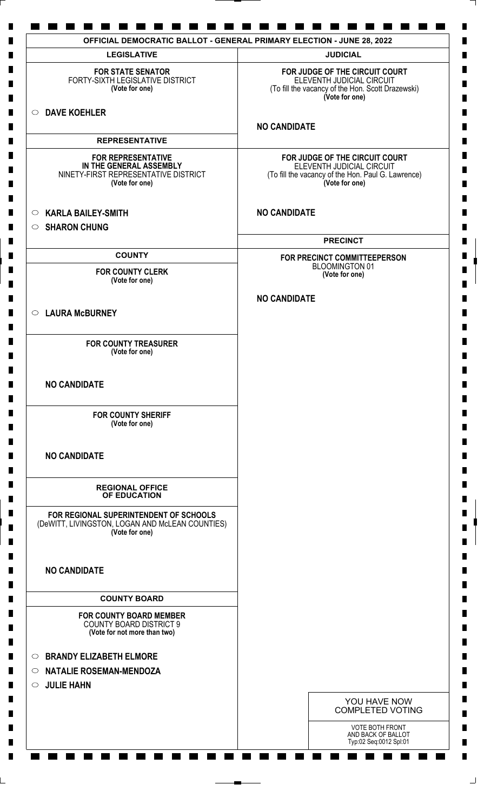| <b>LEGISLATIVE</b>                                                                                             | <b>JUDICIAL</b>                                                                                                                     |
|----------------------------------------------------------------------------------------------------------------|-------------------------------------------------------------------------------------------------------------------------------------|
| <b>FOR STATE SENATOR</b><br>FORTY-SIXTH LEGISLATIVE DISTRICT<br>(Vote for one)                                 | FOR JUDGE OF THE CIRCUIT COURT<br>ELEVENTH JUDICIAL CIRCUIT<br>(To fill the vacancy of the Hon. Scott Drazewski)<br>(Vote for one)  |
| O DAVE KOEHLER                                                                                                 | <b>NO CANDIDATE</b>                                                                                                                 |
| <b>REPRESENTATIVE</b>                                                                                          |                                                                                                                                     |
| <b>FOR REPRESENTATIVE</b><br>IN THE GENERAL ASSEMBLY<br>NINETY-FIRST REPRESENTATIVE DISTRICT<br>(Vote for one) | FOR JUDGE OF THE CIRCUIT COURT<br>ELEVENTH JUDICIAL CIRCUIT<br>(To fill the vacancy of the Hon. Paul G. Lawrence)<br>(Vote for one) |
| <b>KARLA BAILEY-SMITH</b><br>$\circ$<br><b>SHARON CHUNG</b><br>$\circ$                                         | <b>NO CANDIDATE</b>                                                                                                                 |
|                                                                                                                | <b>PRECINCT</b>                                                                                                                     |
| <b>COUNTY</b>                                                                                                  | FOR PRECINCT COMMITTEEPERSON                                                                                                        |
| <b>FOR COUNTY CLERK</b><br>(Vote for one)                                                                      | <b>BLOOMINGTON 01</b><br>(Vote for one)                                                                                             |
|                                                                                                                | <b>NO CANDIDATE</b>                                                                                                                 |
| ○ LAURA McBURNEY                                                                                               |                                                                                                                                     |
| <b>FOR COUNTY TREASURER</b><br>(Vote for one)                                                                  |                                                                                                                                     |
| <b>NO CANDIDATE</b>                                                                                            |                                                                                                                                     |
| <b>FOR COUNTY SHERIFF</b><br>(Vote for one)                                                                    |                                                                                                                                     |
| <b>NO CANDIDATE</b>                                                                                            |                                                                                                                                     |
| <b>REGIONAL OFFICE</b><br>OF EDUCATION                                                                         |                                                                                                                                     |
| FOR REGIONAL SUPERINTENDENT OF SCHOOLS<br>(DeWITT, LIVINGSTON, LOGAN AND McLEAN COUNTIES)<br>(Vote for one)    |                                                                                                                                     |
| <b>NO CANDIDATE</b>                                                                                            |                                                                                                                                     |
| <b>COUNTY BOARD</b>                                                                                            |                                                                                                                                     |
| <b>FOR COUNTY BOARD MEMBER</b><br><b>COUNTY BOARD DISTRICT 9</b><br>(Vote for not more than two)               |                                                                                                                                     |
| <b>BRANDY ELIZABETH ELMORE</b><br>$\circ$                                                                      |                                                                                                                                     |
| <b>NATALIE ROSEMAN-MENDOZA</b><br>$\circ$                                                                      |                                                                                                                                     |
| <b>JULIE HAHN</b><br>$\circ$                                                                                   |                                                                                                                                     |
|                                                                                                                | YOU HAVE NOW                                                                                                                        |
|                                                                                                                | <b>COMPLETED VOTING</b>                                                                                                             |
|                                                                                                                | VOTE BOTH FRONT<br>AND BACK OF BALLOT                                                                                               |
|                                                                                                                | Typ:02 Seq:0012 Spl:01                                                                                                              |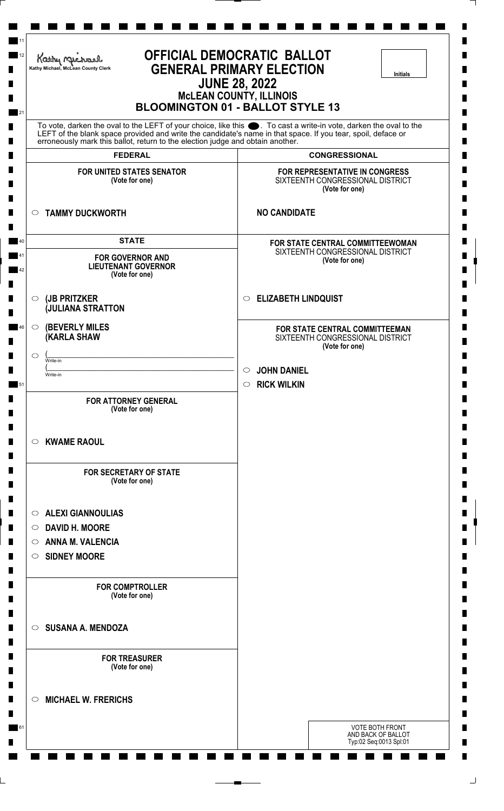| <b>GENERAL PRIMARY ELECTION</b><br>Kathy Michael, McLean County Clerk<br><b>Initials</b><br><b>JUNE 28, 2022</b><br><b>MCLEAN COUNTY, ILLINOIS</b><br><b>BLOOMINGTON 01 - BALLOT STYLE 13</b> |                                                                                                                                                                                                                                      |  |
|-----------------------------------------------------------------------------------------------------------------------------------------------------------------------------------------------|--------------------------------------------------------------------------------------------------------------------------------------------------------------------------------------------------------------------------------------|--|
| erroneously mark this ballot, return to the election judge and obtain another.                                                                                                                | To vote, darken the oval to the LEFT of your choice, like this $\bullet$ . To cast a write-in vote, darken the oval to the LEFT of the blank space provided and write the candidate's name in that space. If you tear, spoil, deface |  |
| <b>FEDERAL</b>                                                                                                                                                                                | <b>CONGRESSIONAL</b>                                                                                                                                                                                                                 |  |
| <b>FOR UNITED STATES SENATOR</b><br>(Vote for one)                                                                                                                                            | FOR REPRESENTATIVE IN CONGRESS<br>SIXTEENTH CONGRESSIONAL DISTRICT<br>(Vote for one)                                                                                                                                                 |  |
| <b>TAMMY DUCKWORTH</b><br>$\circ$                                                                                                                                                             | <b>NO CANDIDATE</b>                                                                                                                                                                                                                  |  |
| <b>STATE</b>                                                                                                                                                                                  | FOR STATE CENTRAL COMMITTEEWOMAN                                                                                                                                                                                                     |  |
| <b>FOR GOVERNOR AND</b><br><b>LIEUTENANT GOVERNOR</b><br>(Vote for one)                                                                                                                       | SIXTEENTH CONGRESSIONAL DISTRICT<br>(Vote for one)                                                                                                                                                                                   |  |
| (JB PRITZKER<br>$\circ$<br><b>JULIANA STRATTON</b>                                                                                                                                            | <b>ELIZABETH LINDQUIST</b><br>$\circ$                                                                                                                                                                                                |  |
| <b>(BEVERLY MILES)</b><br>$\circ$<br><b>(KARLA SHAW</b>                                                                                                                                       | FOR STATE CENTRAL COMMITTEEMAN<br>SIXTEENTH CONGRESSIONAL DISTRICT<br>(Vote for one)                                                                                                                                                 |  |
| $\circ$<br>Write-in                                                                                                                                                                           | <b>JOHN DANIEL</b><br>$\circ$                                                                                                                                                                                                        |  |
| Write-in                                                                                                                                                                                      | <b>RICK WILKIN</b><br>$\circ$                                                                                                                                                                                                        |  |
| <b>FOR ATTORNEY GENERAL</b><br>(Vote for one)                                                                                                                                                 |                                                                                                                                                                                                                                      |  |
| <b>KWAME RAOUL</b><br>$\circ$                                                                                                                                                                 |                                                                                                                                                                                                                                      |  |
| <b>FOR SECRETARY OF STATE</b><br>(Vote for one)                                                                                                                                               |                                                                                                                                                                                                                                      |  |
| <b>ALEXI GIANNOULIAS</b><br>$\circ$                                                                                                                                                           |                                                                                                                                                                                                                                      |  |
| ○ DAVID H. MOORE                                                                                                                                                                              |                                                                                                                                                                                                                                      |  |
| <b>ANNA M. VALENCIA</b><br>$\circ$                                                                                                                                                            |                                                                                                                                                                                                                                      |  |
| SIDNEY MOORE                                                                                                                                                                                  |                                                                                                                                                                                                                                      |  |
| <b>FOR COMPTROLLER</b><br>(Vote for one)                                                                                                                                                      |                                                                                                                                                                                                                                      |  |
| <b>SUSANA A. MENDOZA</b><br>$\circ$                                                                                                                                                           |                                                                                                                                                                                                                                      |  |
| <b>FOR TREASURER</b><br>(Vote for one)                                                                                                                                                        |                                                                                                                                                                                                                                      |  |
| <b>MICHAEL W. FRERICHS</b><br>$\circ$                                                                                                                                                         |                                                                                                                                                                                                                                      |  |
|                                                                                                                                                                                               | <b>VOTE BOTH FRONT</b><br>AND BACK OF BALLOT                                                                                                                                                                                         |  |

L,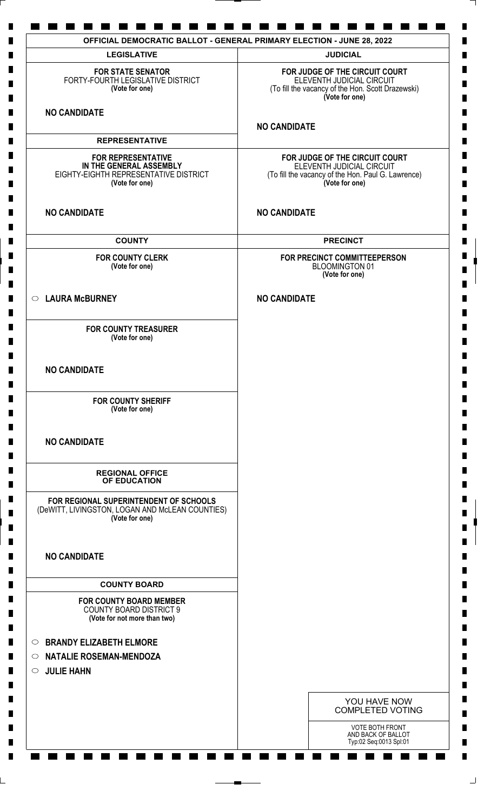| <b>LEGISLATIVE</b>                                                                                              | <b>JUDICIAL</b>                                                                                                                     |
|-----------------------------------------------------------------------------------------------------------------|-------------------------------------------------------------------------------------------------------------------------------------|
| <b>FOR STATE SENATOR</b><br>FORTY-FOURTH LEGISLATIVE DISTRICT<br>(Vote for one)                                 | FOR JUDGE OF THE CIRCUIT COURT<br>ELEVENTH JUDICIAL CIRCUIT<br>(To fill the vacancy of the Hon. Scott Drazewski)<br>(Vote for one)  |
| <b>NO CANDIDATE</b>                                                                                             | <b>NO CANDIDATE</b>                                                                                                                 |
| <b>REPRESENTATIVE</b>                                                                                           |                                                                                                                                     |
| <b>FOR REPRESENTATIVE</b><br>IN THE GENERAL ASSEMBLY<br>EIGHTY-EIGHTH REPRESENTATIVE DISTRICT<br>(Vote for one) | FOR JUDGE OF THE CIRCUIT COURT<br>ELEVENTH JUDICIAL CIRCUIT<br>(To fill the vacancy of the Hon. Paul G. Lawrence)<br>(Vote for one) |
| <b>NO CANDIDATE</b>                                                                                             | <b>NO CANDIDATE</b>                                                                                                                 |
| <b>COUNTY</b>                                                                                                   | <b>PRECINCT</b>                                                                                                                     |
| <b>FOR COUNTY CLERK</b><br>(Vote for one)                                                                       | FOR PRECINCT COMMITTEEPERSON<br><b>BLOOMINGTON 01</b><br>(Vote for one)                                                             |
| ○ LAURA McBURNEY                                                                                                | <b>NO CANDIDATE</b>                                                                                                                 |
| <b>FOR COUNTY TREASURER</b><br>(Vote for one)                                                                   |                                                                                                                                     |
| <b>NO CANDIDATE</b>                                                                                             |                                                                                                                                     |
| <b>FOR COUNTY SHERIFF</b><br>(Vote for one)                                                                     |                                                                                                                                     |
| <b>NO CANDIDATE</b>                                                                                             |                                                                                                                                     |
| <b>REGIONAL OFFICE</b><br>OF EDUCATION                                                                          |                                                                                                                                     |
| FOR REGIONAL SUPERINTENDENT OF SCHOOLS<br>(DeWITT, LIVINGSTON, LOGAN AND McLEAN COUNTIES)<br>(Vote for one)     |                                                                                                                                     |
| <b>NO CANDIDATE</b>                                                                                             |                                                                                                                                     |
| <b>COUNTY BOARD</b>                                                                                             |                                                                                                                                     |
| <b>FOR COUNTY BOARD MEMBER</b><br><b>COUNTY BOARD DISTRICT 9</b><br>(Vote for not more than two)                |                                                                                                                                     |
| <b>BRANDY ELIZABETH ELMORE</b><br>O                                                                             |                                                                                                                                     |
| <b>NATALIE ROSEMAN-MENDOZA</b><br>$\circ$                                                                       |                                                                                                                                     |
| <b>JULIE HAHN</b><br>$\circ$                                                                                    |                                                                                                                                     |
|                                                                                                                 | YOU HAVE NOW<br><b>COMPLETED VOTING</b>                                                                                             |
|                                                                                                                 | VOTE BOTH FRONT<br>AND BACK OF BALLOT<br>Typ:02 Seq:0013 Spl:01                                                                     |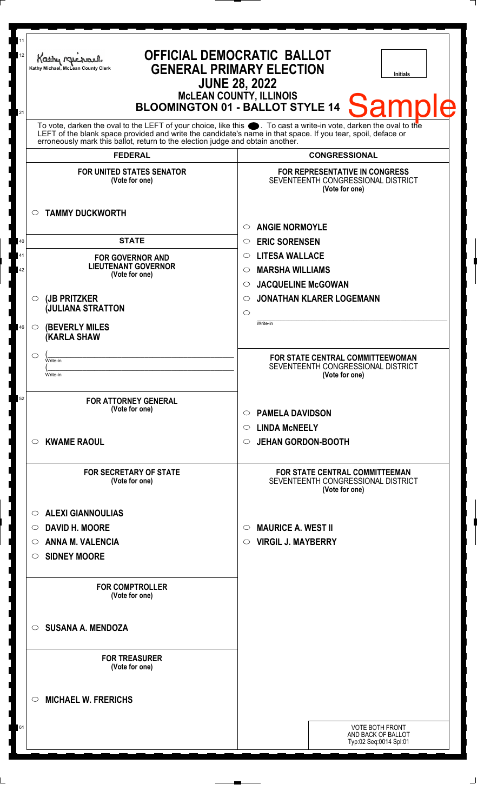| 11<br>OFFICIAL DEMOCRATIC BALLOT<br>12<br>Kathy Michael<br><b>GENERAL PRIMARY ELECTION</b><br>Kathy Michael, McLean County Clerk<br><b>Initials</b><br><b>JUNE 28, 2022</b><br><b>McLEAN COUNTY, ILLINOIS</b><br>Sample<br><b>BLOOMINGTON 01 - BALLOT STYLE 14</b><br>21                                               |                                                                                               |  |
|------------------------------------------------------------------------------------------------------------------------------------------------------------------------------------------------------------------------------------------------------------------------------------------------------------------------|-----------------------------------------------------------------------------------------------|--|
| To vote, darken the oval to the LEFT of your choice, like this $\bullet$ . To cast a write-in vote, darken the oval to the LEFT of the blank space provided and write the candidate's name in that space. If you tear, spoil, deface<br>erroneously mark this ballot, return to the election judge and obtain another. |                                                                                               |  |
| <b>FEDERAL</b>                                                                                                                                                                                                                                                                                                         | <b>CONGRESSIONAL</b>                                                                          |  |
| <b>FOR UNITED STATES SENATOR</b><br>(Vote for one)                                                                                                                                                                                                                                                                     | FOR REPRESENTATIVE IN CONGRESS<br>SEVENTEENTH CONGRESSIONAL DISTRICT<br>(Vote for one)        |  |
| <b>TAMMY DUCKWORTH</b><br>$\circ$                                                                                                                                                                                                                                                                                      | <b>ANGIE NORMOYLE</b><br>$\circ$                                                              |  |
| <b>STATE</b><br>40                                                                                                                                                                                                                                                                                                     | <b>ERIC SORENSEN</b><br>$\circ$                                                               |  |
| 41<br><b>FOR GOVERNOR AND</b>                                                                                                                                                                                                                                                                                          | <b>LITESA WALLACE</b><br>$\circ$                                                              |  |
| <b>LIEUTENANT GOVERNOR</b><br>42<br>(Vote for one)                                                                                                                                                                                                                                                                     | <b>MARSHA WILLIAMS</b><br>$\circlearrowright$                                                 |  |
|                                                                                                                                                                                                                                                                                                                        | <b>JACQUELINE McGOWAN</b><br>$\circ$                                                          |  |
| (JB PRITZKER<br>$\circ$<br><b>JULIANA STRATTON</b>                                                                                                                                                                                                                                                                     | <b>JONATHAN KLARER LOGEMANN</b><br>$\circ$<br>$\circ$                                         |  |
| <b>(BEVERLY MILES)</b><br>46<br>$\circ$<br><b>(KARLA SHAW</b>                                                                                                                                                                                                                                                          | Write-in                                                                                      |  |
| $\circ$<br>Write-in                                                                                                                                                                                                                                                                                                    | <b>FOR STATE CENTRAL COMMITTEEWOMAN</b><br>SEVENTEENTH CONGRESSIONAL DISTRICT                 |  |
| Write-in                                                                                                                                                                                                                                                                                                               | (Vote for one)                                                                                |  |
| 52<br><b>FOR ATTORNEY GENERAL</b><br>(Vote for one)                                                                                                                                                                                                                                                                    | <b>PAMELA DAVIDSON</b><br>$\circ$                                                             |  |
| <b>KWAME RAOUL</b><br>$\circ$                                                                                                                                                                                                                                                                                          | <b>LINDA MCNEELY</b><br>$\circ$<br><b>JEHAN GORDON-BOOTH</b><br>$\circ$                       |  |
| <b>FOR SECRETARY OF STATE</b><br>(Vote for one)                                                                                                                                                                                                                                                                        | <b>FOR STATE CENTRAL COMMITTEEMAN</b><br>SEVENTEENTH CONGRESSIONAL DISTRICT<br>(Vote for one) |  |
| <b>ALEXI GIANNOULIAS</b><br>$\circ$                                                                                                                                                                                                                                                                                    |                                                                                               |  |
| <b>DAVID H. MOORE</b><br>$\circ$                                                                                                                                                                                                                                                                                       | <b>MAURICE A. WEST II</b><br>$\circ$                                                          |  |
| <b>ANNA M. VALENCIA</b><br>O                                                                                                                                                                                                                                                                                           | <b>VIRGIL J. MAYBERRY</b><br>$\circ$                                                          |  |
| <b>SIDNEY MOORE</b><br>$\circ$                                                                                                                                                                                                                                                                                         |                                                                                               |  |
| <b>FOR COMPTROLLER</b><br>(Vote for one)                                                                                                                                                                                                                                                                               |                                                                                               |  |
| <b>SUSANA A. MENDOZA</b><br>$\circ$                                                                                                                                                                                                                                                                                    |                                                                                               |  |
| <b>FOR TREASURER</b><br>(Vote for one)                                                                                                                                                                                                                                                                                 |                                                                                               |  |
| <b>MICHAEL W. FRERICHS</b><br>O                                                                                                                                                                                                                                                                                        |                                                                                               |  |
| 61                                                                                                                                                                                                                                                                                                                     | <b>VOTE BOTH FRONT</b><br>AND BACK OF BALLOT<br>Typ:02 Seq:0014 Spl:01                        |  |

 $\perp$